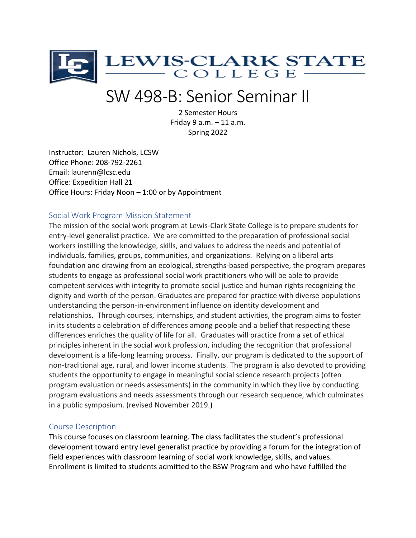

# SW 498-B: Senior Seminar II

2 Semester Hours Friday 9 a.m. – 11 a.m. Spring 2022

Instructor: Lauren Nichols, LCSW Office Phone: 208-792-2261 Email: laurenn@lcsc.edu Office: Expedition Hall 21 Office Hours: Friday Noon – 1:00 or by Appointment

#### Social Work Program Mission Statement

The mission of the social work program at Lewis-Clark State College is to prepare students for entry-level generalist practice. We are committed to the preparation of professional social workers instilling the knowledge, skills, and values to address the needs and potential of individuals, families, groups, communities, and organizations. Relying on a liberal arts foundation and drawing from an ecological, strengths-based perspective, the program prepares students to engage as professional social work practitioners who will be able to provide competent services with integrity to promote social justice and human rights recognizing the dignity and worth of the person. Graduates are prepared for practice with diverse populations understanding the person-in-environment influence on identity development and relationships. Through courses, internships, and student activities, the program aims to foster in its students a celebration of differences among people and a belief that respecting these differences enriches the quality of life for all. Graduates will practice from a set of ethical principles inherent in the social work profession, including the recognition that professional development is a life-long learning process. Finally, our program is dedicated to the support of non-traditional age, rural, and lower income students. The program is also devoted to providing students the opportunity to engage in meaningful social science research projects (often program evaluation or needs assessments) in the community in which they live by conducting program evaluations and needs assessments through our research sequence, which culminates in a public symposium. (revised November 2019.)

# Course Description

This course focuses on classroom learning. The class facilitates the student's professional development toward entry level generalist practice by providing a forum for the integration of field experiences with classroom learning of social work knowledge, skills, and values. Enrollment is limited to students admitted to the BSW Program and who have fulfilled the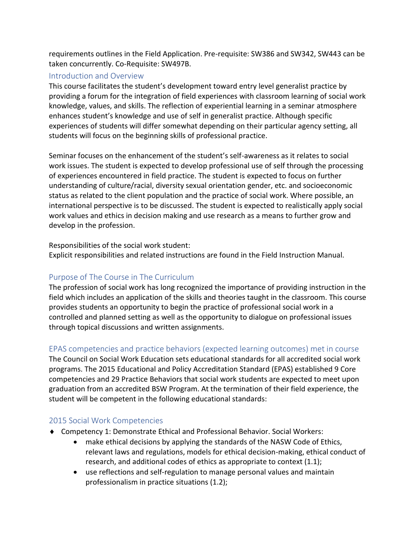requirements outlines in the Field Application. Pre-requisite: SW386 and SW342, SW443 can be taken concurrently. Co-Requisite: SW497B.

# Introduction and Overview

This course facilitates the student's development toward entry level generalist practice by providing a forum for the integration of field experiences with classroom learning of social work knowledge, values, and skills. The reflection of experiential learning in a seminar atmosphere enhances student's knowledge and use of self in generalist practice. Although specific experiences of students will differ somewhat depending on their particular agency setting, all students will focus on the beginning skills of professional practice.

Seminar focuses on the enhancement of the student's self-awareness as it relates to social work issues. The student is expected to develop professional use of self through the processing of experiences encountered in field practice. The student is expected to focus on further understanding of culture/racial, diversity sexual orientation gender, etc. and socioeconomic status as related to the client population and the practice of social work. Where possible, an international perspective is to be discussed. The student is expected to realistically apply social work values and ethics in decision making and use research as a means to further grow and develop in the profession.

Responsibilities of the social work student:

Explicit responsibilities and related instructions are found in the Field Instruction Manual.

# Purpose of The Course in The Curriculum

The profession of social work has long recognized the importance of providing instruction in the field which includes an application of the skills and theories taught in the classroom. This course provides students an opportunity to begin the practice of professional social work in a controlled and planned setting as well as the opportunity to dialogue on professional issues through topical discussions and written assignments.

# EPAS competencies and practice behaviors (expected learning outcomes) met in course

The Council on Social Work Education sets educational standards for all accredited social work programs. The 2015 Educational and Policy Accreditation Standard (EPAS) established 9 Core competencies and 29 Practice Behaviors that social work students are expected to meet upon graduation from an accredited BSW Program. At the termination of their field experience, the student will be competent in the following educational standards:

# 2015 Social Work Competencies

- Competency 1: Demonstrate Ethical and Professional Behavior. Social Workers:
	- make ethical decisions by applying the standards of the NASW Code of Ethics, relevant laws and regulations, models for ethical decision-making, ethical conduct of research, and additional codes of ethics as appropriate to context (1.1);
	- use reflections and self-regulation to manage personal values and maintain professionalism in practice situations (1.2);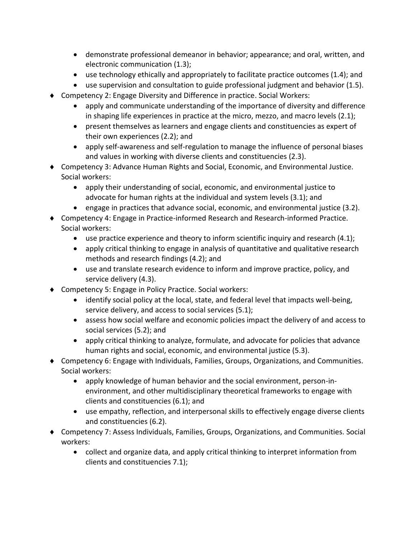- demonstrate professional demeanor in behavior; appearance; and oral, written, and electronic communication (1.3);
- use technology ethically and appropriately to facilitate practice outcomes (1.4); and
- use supervision and consultation to guide professional judgment and behavior (1.5).
- Competency 2: Engage Diversity and Difference in practice. Social Workers:
	- apply and communicate understanding of the importance of diversity and difference in shaping life experiences in practice at the micro, mezzo, and macro levels (2.1);
	- present themselves as learners and engage clients and constituencies as expert of their own experiences (2.2); and
	- apply self-awareness and self-regulation to manage the influence of personal biases and values in working with diverse clients and constituencies (2.3).
- Competency 3: Advance Human Rights and Social, Economic, and Environmental Justice. Social workers:
	- apply their understanding of social, economic, and environmental justice to advocate for human rights at the individual and system levels (3.1); and
	- engage in practices that advance social, economic, and environmental justice (3.2).
- Competency 4: Engage in Practice-informed Research and Research-informed Practice. Social workers:
	- use practice experience and theory to inform scientific inquiry and research (4.1);
	- apply critical thinking to engage in analysis of quantitative and qualitative research methods and research findings (4.2); and
	- use and translate research evidence to inform and improve practice, policy, and service delivery (4.3).
- ◆ Competency 5: Engage in Policy Practice. Social workers:
	- identify social policy at the local, state, and federal level that impacts well-being, service delivery, and access to social services (5.1);
	- assess how social welfare and economic policies impact the delivery of and access to social services (5.2); and
	- apply critical thinking to analyze, formulate, and advocate for policies that advance human rights and social, economic, and environmental justice (5.3).
- Competency 6: Engage with Individuals, Families, Groups, Organizations, and Communities. Social workers:
	- apply knowledge of human behavior and the social environment, person-inenvironment, and other multidisciplinary theoretical frameworks to engage with clients and constituencies (6.1); and
	- use empathy, reflection, and interpersonal skills to effectively engage diverse clients and constituencies (6.2).
- Competency 7: Assess Individuals, Families, Groups, Organizations, and Communities. Social workers:
	- collect and organize data, and apply critical thinking to interpret information from clients and constituencies 7.1);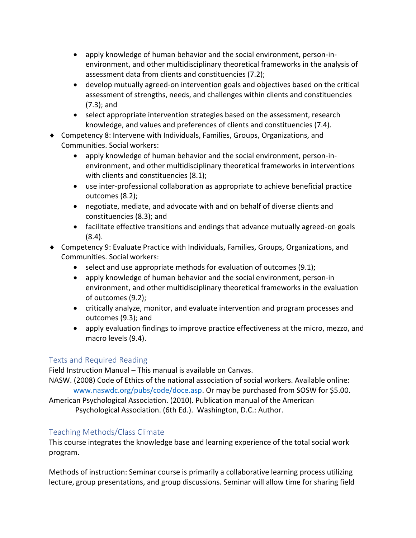- apply knowledge of human behavior and the social environment, person-inenvironment, and other multidisciplinary theoretical frameworks in the analysis of assessment data from clients and constituencies (7.2);
- develop mutually agreed-on intervention goals and objectives based on the critical assessment of strengths, needs, and challenges within clients and constituencies (7.3); and
- select appropriate intervention strategies based on the assessment, research knowledge, and values and preferences of clients and constituencies (7.4).
- Competency 8: Intervene with Individuals, Families, Groups, Organizations, and Communities. Social workers:
	- apply knowledge of human behavior and the social environment, person-inenvironment, and other multidisciplinary theoretical frameworks in interventions with clients and constituencies (8.1);
	- use inter-professional collaboration as appropriate to achieve beneficial practice outcomes (8.2);
	- negotiate, mediate, and advocate with and on behalf of diverse clients and constituencies (8.3); and
	- facilitate effective transitions and endings that advance mutually agreed-on goals (8.4).
- Competency 9: Evaluate Practice with Individuals, Families, Groups, Organizations, and Communities. Social workers:
	- select and use appropriate methods for evaluation of outcomes (9.1);
	- apply knowledge of human behavior and the social environment, person-in environment, and other multidisciplinary theoretical frameworks in the evaluation of outcomes (9.2);
	- critically analyze, monitor, and evaluate intervention and program processes and outcomes (9.3); and
	- apply evaluation findings to improve practice effectiveness at the micro, mezzo, and macro levels (9.4).

# Texts and Required Reading

Field Instruction Manual – This manual is available on Canvas.

NASW. (2008) Code of Ethics of the national association of social workers. Available online: [www.naswdc.org/pubs/code/doce.asp.](http://www.naswdc.org/pubs/code/doce.asp) Or may be purchased from SOSW for \$5.00.

American Psychological Association. (2010). Publication manual of the American Psychological Association. (6th Ed.). Washington, D.C.: Author.

# Teaching Methods/Class Climate

This course integrates the knowledge base and learning experience of the total social work program.

Methods of instruction: Seminar course is primarily a collaborative learning process utilizing lecture, group presentations, and group discussions. Seminar will allow time for sharing field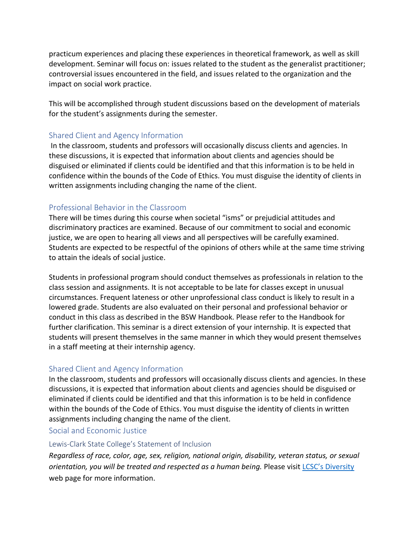practicum experiences and placing these experiences in theoretical framework, as well as skill development. Seminar will focus on: issues related to the student as the generalist practitioner; controversial issues encountered in the field, and issues related to the organization and the impact on social work practice.

This will be accomplished through student discussions based on the development of materials for the student's assignments during the semester.

# Shared Client and Agency Information

In the classroom, students and professors will occasionally discuss clients and agencies. In these discussions, it is expected that information about clients and agencies should be disguised or eliminated if clients could be identified and that this information is to be held in confidence within the bounds of the Code of Ethics. You must disguise the identity of clients in written assignments including changing the name of the client.

# Professional Behavior in the Classroom

There will be times during this course when societal "isms" or prejudicial attitudes and discriminatory practices are examined. Because of our commitment to social and economic justice, we are open to hearing all views and all perspectives will be carefully examined. Students are expected to be respectful of the opinions of others while at the same time striving to attain the ideals of social justice.

Students in professional program should conduct themselves as professionals in relation to the class session and assignments. It is not acceptable to be late for classes except in unusual circumstances. Frequent lateness or other unprofessional class conduct is likely to result in a lowered grade. Students are also evaluated on their personal and professional behavior or conduct in this class as described in the BSW Handbook. Please refer to the Handbook for further clarification. This seminar is a direct extension of your internship. It is expected that students will present themselves in the same manner in which they would present themselves in a staff meeting at their internship agency.

# Shared Client and Agency Information

In the classroom, students and professors will occasionally discuss clients and agencies. In these discussions, it is expected that information about clients and agencies should be disguised or eliminated if clients could be identified and that this information is to be held in confidence within the bounds of the Code of Ethics. You must disguise the identity of clients in written assignments including changing the name of the client.

#### Social and Economic Justice

#### Lewis-Clark State College's Statement of Inclusion

*Regardless of race, color, age, sex, religion, national origin, disability, veteran status, or sexual orientation, you will be treated and respected as a human being.* Please visit [LCSC's Diversity](http://www.lcsc.edu/diversity/) web page for more information.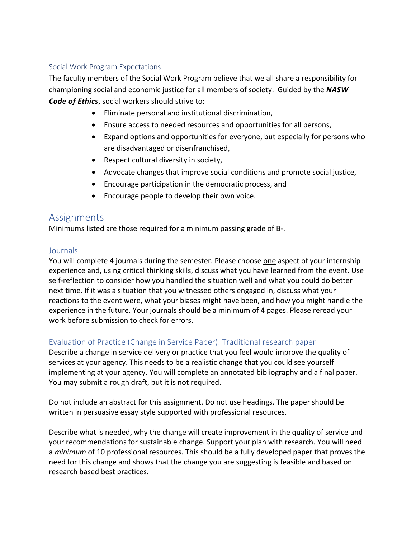#### Social Work Program Expectations

The faculty members of the Social Work Program believe that we all share a responsibility for championing social and economic justice for all members of society. Guided by the *NASW Code of Ethics*, social workers should strive to:

- Eliminate personal and institutional discrimination,
- Ensure access to needed resources and opportunities for all persons,
- Expand options and opportunities for everyone, but especially for persons who are disadvantaged or disenfranchised,
- Respect cultural diversity in society,
- Advocate changes that improve social conditions and promote social justice,
- Encourage participation in the democratic process, and
- Encourage people to develop their own voice.

# Assignments

Minimums listed are those required for a minimum passing grade of B-.

# **Journals**

You will complete 4 journals during the semester. Please choose one aspect of your internship experience and, using critical thinking skills, discuss what you have learned from the event. Use self-reflection to consider how you handled the situation well and what you could do better next time. If it was a situation that you witnessed others engaged in, discuss what your reactions to the event were, what your biases might have been, and how you might handle the experience in the future. Your journals should be a minimum of 4 pages. Please reread your work before submission to check for errors.

# Evaluation of Practice (Change in Service Paper): Traditional research paper

Describe a change in service delivery or practice that you feel would improve the quality of services at your agency. This needs to be a realistic change that you could see yourself implementing at your agency. You will complete an annotated bibliography and a final paper. You may submit a rough draft, but it is not required.

# Do not include an abstract for this assignment. Do not use headings. The paper should be written in persuasive essay style supported with professional resources.

Describe what is needed, why the change will create improvement in the quality of service and your recommendations for sustainable change. Support your plan with research. You will need a *minimum* of 10 professional resources. This should be a fully developed paper that proves the need for this change and shows that the change you are suggesting is feasible and based on research based best practices.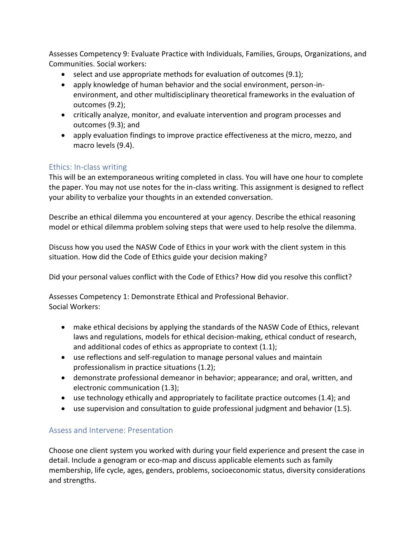Assesses Competency 9: Evaluate Practice with Individuals, Families, Groups, Organizations, and Communities. Social workers:

- select and use appropriate methods for evaluation of outcomes (9.1);
- apply knowledge of human behavior and the social environment, person-inenvironment, and other multidisciplinary theoretical frameworks in the evaluation of outcomes (9.2);
- critically analyze, monitor, and evaluate intervention and program processes and outcomes (9.3); and
- apply evaluation findings to improve practice effectiveness at the micro, mezzo, and macro levels (9.4).

# Ethics: In-class writing

This will be an extemporaneous writing completed in class. You will have one hour to complete the paper. You may not use notes for the in-class writing. This assignment is designed to reflect your ability to verbalize your thoughts in an extended conversation.

Describe an ethical dilemma you encountered at your agency. Describe the ethical reasoning model or ethical dilemma problem solving steps that were used to help resolve the dilemma.

Discuss how you used the NASW Code of Ethics in your work with the client system in this situation. How did the Code of Ethics guide your decision making?

Did your personal values conflict with the Code of Ethics? How did you resolve this conflict?

Assesses Competency 1: Demonstrate Ethical and Professional Behavior. Social Workers:

- make ethical decisions by applying the standards of the NASW Code of Ethics, relevant laws and regulations, models for ethical decision-making, ethical conduct of research, and additional codes of ethics as appropriate to context (1.1);
- use reflections and self-regulation to manage personal values and maintain professionalism in practice situations (1.2);
- demonstrate professional demeanor in behavior; appearance; and oral, written, and electronic communication (1.3);
- use technology ethically and appropriately to facilitate practice outcomes (1.4); and
- use supervision and consultation to guide professional judgment and behavior (1.5).

# Assess and Intervene: Presentation

Choose one client system you worked with during your field experience and present the case in detail. Include a genogram or eco-map and discuss applicable elements such as family membership, life cycle, ages, genders, problems, socioeconomic status, diversity considerations and strengths.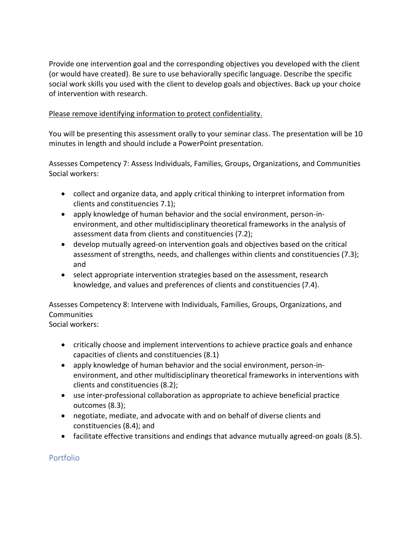Provide one intervention goal and the corresponding objectives you developed with the client (or would have created). Be sure to use behaviorally specific language. Describe the specific social work skills you used with the client to develop goals and objectives. Back up your choice of intervention with research.

# Please remove identifying information to protect confidentiality.

You will be presenting this assessment orally to your seminar class. The presentation will be 10 minutes in length and should include a PowerPoint presentation.

Assesses Competency 7: Assess Individuals, Families, Groups, Organizations, and Communities Social workers:

- collect and organize data, and apply critical thinking to interpret information from clients and constituencies 7.1);
- apply knowledge of human behavior and the social environment, person-inenvironment, and other multidisciplinary theoretical frameworks in the analysis of assessment data from clients and constituencies (7.2);
- develop mutually agreed-on intervention goals and objectives based on the critical assessment of strengths, needs, and challenges within clients and constituencies (7.3); and
- select appropriate intervention strategies based on the assessment, research knowledge, and values and preferences of clients and constituencies (7.4).

Assesses Competency 8: Intervene with Individuals, Families, Groups, Organizations, and **Communities** 

Social workers:

- critically choose and implement interventions to achieve practice goals and enhance capacities of clients and constituencies (8.1)
- apply knowledge of human behavior and the social environment, person-inenvironment, and other multidisciplinary theoretical frameworks in interventions with clients and constituencies (8.2);
- use inter-professional collaboration as appropriate to achieve beneficial practice outcomes (8.3);
- negotiate, mediate, and advocate with and on behalf of diverse clients and constituencies (8.4); and
- facilitate effective transitions and endings that advance mutually agreed-on goals (8.5).

# Portfolio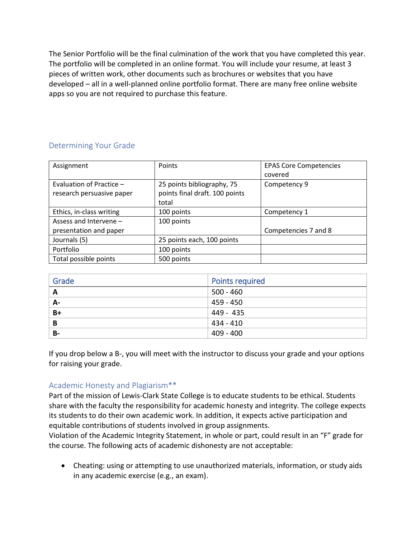The Senior Portfolio will be the final culmination of the work that you have completed this year. The portfolio will be completed in an online format. You will include your resume, at least 3 pieces of written work, other documents such as brochures or websites that you have developed – all in a well-planned online portfolio format. There are many free online website apps so you are not required to purchase this feature.

# Determining Your Grade

| Assignment                | Points                         | <b>EPAS Core Competencies</b> |
|---------------------------|--------------------------------|-------------------------------|
|                           |                                | covered                       |
| Evaluation of Practice -  | 25 points bibliography, 75     | Competency 9                  |
| research persuasive paper | points final draft. 100 points |                               |
|                           | total                          |                               |
| Ethics, in-class writing  | 100 points                     | Competency 1                  |
| Assess and Intervene -    | 100 points                     |                               |
| presentation and paper    |                                | Competencies 7 and 8          |
| Journals (5)              | 25 points each, 100 points     |                               |
| Portfolio                 | 100 points                     |                               |
| Total possible points     | 500 points                     |                               |

| Grade     | <b>Points required</b> |
|-----------|------------------------|
| A         | $500 - 460$            |
| А-        | 459 - 450              |
| $B+$      | 449 - 435              |
| B         | 434 - 410              |
| <b>B-</b> | 409 - 400              |

If you drop below a B-, you will meet with the instructor to discuss your grade and your options for raising your grade.

# Academic Honesty and Plagiarism\*\*

Part of the mission of Lewis-Clark State College is to educate students to be ethical. Students share with the faculty the responsibility for academic honesty and integrity. The college expects its students to do their own academic work. In addition, it expects active participation and equitable contributions of students involved in group assignments.

Violation of the Academic Integrity Statement, in whole or part, could result in an "F" grade for the course. The following acts of academic dishonesty are not acceptable:

• Cheating: using or attempting to use unauthorized materials, information, or study aids in any academic exercise (e.g., an exam).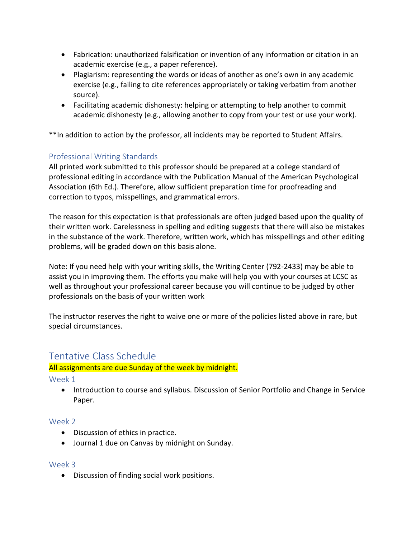- Fabrication: unauthorized falsification or invention of any information or citation in an academic exercise (e.g., a paper reference).
- Plagiarism: representing the words or ideas of another as one's own in any academic exercise (e.g., failing to cite references appropriately or taking verbatim from another source).
- Facilitating academic dishonesty: helping or attempting to help another to commit academic dishonesty (e.g., allowing another to copy from your test or use your work).

\*\*In addition to action by the professor, all incidents may be reported to Student Affairs.

# Professional Writing Standards

All printed work submitted to this professor should be prepared at a college standard of professional editing in accordance with the Publication Manual of the American Psychological Association (6th Ed.). Therefore, allow sufficient preparation time for proofreading and correction to typos, misspellings, and grammatical errors.

The reason for this expectation is that professionals are often judged based upon the quality of their written work. Carelessness in spelling and editing suggests that there will also be mistakes in the substance of the work. Therefore, written work, which has misspellings and other editing problems, will be graded down on this basis alone.

Note: If you need help with your writing skills, the Writing Center (792-2433) may be able to assist you in improving them. The efforts you make will help you with your courses at LCSC as well as throughout your professional career because you will continue to be judged by other professionals on the basis of your written work

The instructor reserves the right to waive one or more of the policies listed above in rare, but special circumstances.

# Tentative Class Schedule

# All assignments are due Sunday of the week by midnight.

Week 1

• Introduction to course and syllabus. Discussion of Senior Portfolio and Change in Service Paper.

# Week 2

- Discussion of ethics in practice.
- Journal 1 due on Canvas by midnight on Sunday.

# Week 3

• Discussion of finding social work positions.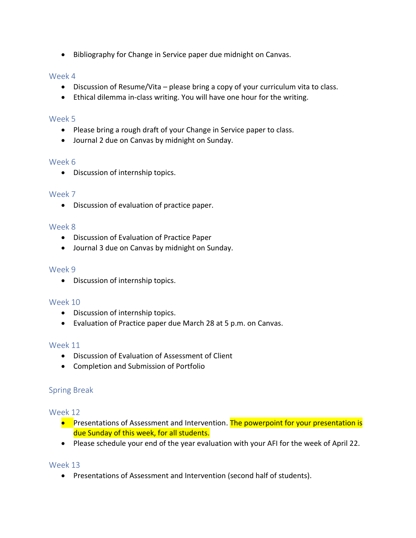• Bibliography for Change in Service paper due midnight on Canvas.

# Week 4

- Discussion of Resume/Vita please bring a copy of your curriculum vita to class.
- Ethical dilemma in-class writing. You will have one hour for the writing.

# Week 5

- Please bring a rough draft of your Change in Service paper to class.
- Journal 2 due on Canvas by midnight on Sunday.

# Week 6

• Discussion of internship topics.

# Week 7

• Discussion of evaluation of practice paper.

# Week 8

- Discussion of Evaluation of Practice Paper
- Journal 3 due on Canvas by midnight on Sunday.

# Week 9

• Discussion of internship topics.

# Week 10

- Discussion of internship topics.
- Evaluation of Practice paper due March 28 at 5 p.m. on Canvas.

# Week 11

- Discussion of Evaluation of Assessment of Client
- Completion and Submission of Portfolio

# Spring Break

# Week 12

- Presentations of Assessment and Intervention. The powerpoint for your presentation is due Sunday of this week, for all students.
- Please schedule your end of the year evaluation with your AFI for the week of April 22.

# Week 13

• Presentations of Assessment and Intervention (second half of students).